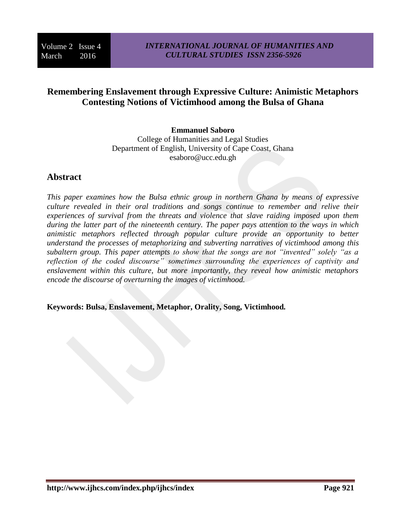# **Remembering Enslavement through Expressive Culture: Animistic Metaphors Contesting Notions of Victimhood among the Bulsa of Ghana**

## **Emmanuel Saboro**

College of Humanities and Legal Studies Department of English, University of Cape Coast, Ghana esaboro@ucc.edu.gh

## **Abstract**

*This paper examines how the Bulsa ethnic group in northern Ghana by means of expressive culture revealed in their oral traditions and songs continue to remember and relive their experiences of survival from the threats and violence that slave raiding imposed upon them during the latter part of the nineteenth century. The paper pays attention to the ways in which animistic metaphors reflected through popular culture provide an opportunity to better understand the processes of metaphorizing and subverting narratives of victimhood among this subaltern group. This paper attempts to show that the songs are not "invented" solely "as a reflection of the coded discourse" sometimes surrounding the experiences of captivity and enslavement within this culture, but more importantly, they reveal how animistic metaphors encode the discourse of overturning the images of victimhood.* 

**Keywords: Bulsa, Enslavement, Metaphor, Orality, Song, Victimhood.**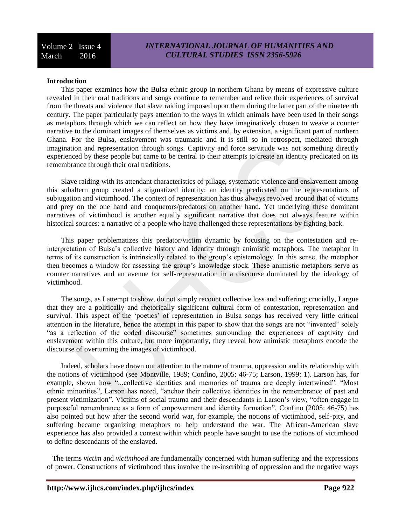#### **Introduction**

This paper examines how the Bulsa ethnic group in northern Ghana by means of expressive culture revealed in their oral traditions and songs continue to remember and relive their experiences of survival from the threats and violence that slave raiding imposed upon them during the latter part of the nineteenth century. The paper particularly pays attention to the ways in which animals have been used in their songs as metaphors through which we can reflect on how they have imaginatively chosen to weave a counter narrative to the dominant images of themselves as victims and, by extension, a significant part of northern Ghana. For the Bulsa, enslavement was traumatic and it is still so in retrospect, mediated through imagination and representation through songs. Captivity and force servitude was not something directly experienced by these people but came to be central to their attempts to create an identity predicated on its remembrance through their oral traditions.

Slave raiding with its attendant characteristics of pillage, systematic violence and enslavement among this subaltern group created a stigmatized identity: an identity predicated on the representations of subjugation and victimhood. The context of representation has thus always revolved around that of victims and prey on the one hand and conquerors/predators on another hand. Yet underlying these dominant narratives of victimhood is another equally significant narrative that does not always feature within historical sources: a narrative of a people who have challenged these representations by fighting back.

This paper problematizes this predator/victim dynamic by focusing on the contestation and reinterpretation of Bulsa's collective history and identity through animistic metaphors. The metaphor in terms of its construction is intrinsically related to the group's epistemology. In this sense, the metaphor then becomes a window for assessing the group's knowledge stock. These animistic metaphors serve as counter narratives and an avenue for self-representation in a discourse dominated by the ideology of victimhood.

The songs, as I attempt to show, do not simply recount collective loss and suffering; crucially, I argue that they are a politically and rhetorically significant cultural form of contestation, representation and survival. This aspect of the 'poetics' of representation in Bulsa songs has received very little critical attention in the literature, hence the attempt in this paper to show that the songs are not "invented" solely "as a reflection of the coded discourse" sometimes surrounding the experiences of captivity and enslavement within this culture, but more importantly, they reveal how animistic metaphors encode the discourse of overturning the images of victimhood.

Indeed, scholars have drawn our attention to the nature of trauma, oppression and its relationship with the notions of victimhood (see Montville, 1989; Confino, 2005: 46-75; Larson, 1999: 1). Larson has, for example, shown how "...collective identities and memories of trauma are deeply intertwined". "Most ethnic minorities", Larson has noted, "anchor their collective identities in the remembrance of past and present victimization". Victims of social trauma and their descendants in Larson's view, "often engage in purposeful remembrance as a form of empowerment and identity formation". Confino (2005: 46-75) has also pointed out how after the second world war, for example, the notions of victimhood, self-pity, and suffering became organizing metaphors to help understand the war. The African-American slave experience has also provided a context within which people have sought to use the notions of victimhood to define descendants of the enslaved.

The terms *victim* and *victimhood* are fundamentally concerned with human suffering and the expressions of power. Constructions of victimhood thus involve the re-inscribing of oppression and the negative ways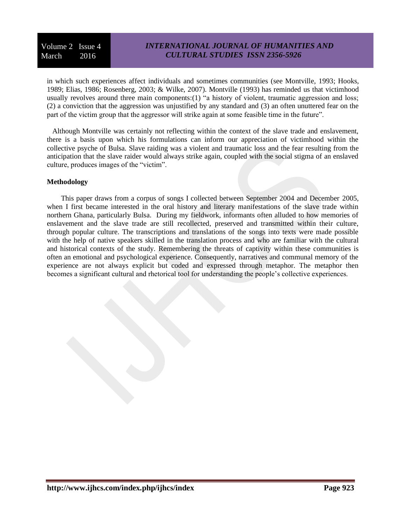## *INTERNATIONAL JOURNAL OF HUMANITIES AND CULTURAL STUDIES ISSN 2356-5926*

in which such experiences affect individuals and sometimes communities (see Montville, 1993; Hooks, 1989; Elias, 1986; Rosenberg, 2003; & Wilke, 2007). Montville (1993) has reminded us that victimhood usually revolves around three main components:(1) "a history of violent, traumatic aggression and loss; (2) a conviction that the aggression was unjustified by any standard and (3) an often unuttered fear on the part of the victim group that the aggressor will strike again at some feasible time in the future".

Although Montville was certainly not reflecting within the context of the slave trade and enslavement, there is a basis upon which his formulations can inform our appreciation of victimhood within the collective psyche of Bulsa. Slave raiding was a violent and traumatic loss and the fear resulting from the anticipation that the slave raider would always strike again, coupled with the social stigma of an enslaved culture, produces images of the "victim".

### **Methodology**

This paper draws from a corpus of songs I collected between September 2004 and December 2005, when I first became interested in the oral history and literary manifestations of the slave trade within northern Ghana, particularly Bulsa. During my fieldwork, informants often alluded to how memories of enslavement and the slave trade are still recollected, preserved and transmitted within their culture, through popular culture. The transcriptions and translations of the songs into texts were made possible with the help of native speakers skilled in the translation process and who are familiar with the cultural and historical contexts of the study. Remembering the threats of captivity within these communities is often an emotional and psychological experience. Consequently, narratives and communal memory of the experience are not always explicit but coded and expressed through metaphor. The metaphor then becomes a significant cultural and rhetorical tool for understanding the people's collective experiences.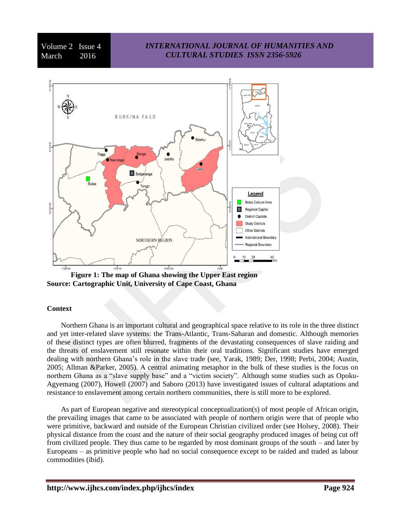### *INTERNATIONAL JOURNAL OF HUMANITIES AND CULTURAL STUDIES ISSN 2356-5926*



**Figure 1: The map of Ghana showing the Upper East region Source: Cartographic Unit, University of Cape Coast, Ghana**

#### **Context**

Northern Ghana is an important cultural and geographical space relative to its role in the three distinct and yet inter-related slave systems: the Trans-Atlantic, Trans-Saharan and domestic. Although memories of these distinct types are often blurred, fragments of the devastating consequences of slave raiding and the threats of enslavement still resonate within their oral traditions. Significant studies have emerged dealing with northern Ghana's role in the slave trade (see, Yarak, 1989; Der, 1998; Perbi, 2004; Austin, 2005; Allman &Parker, 2005). A central animating metaphor in the bulk of these studies is the focus on northern Ghana as a "slave supply base" and a "victim society". Although some studies such as Opoku-Agyemang (2007), Howell (2007) and Saboro (2013) have investigated issues of cultural adaptations and resistance to enslavement among certain northern communities, there is still more to be explored.

As part of European negative and stereotypical conceptualization(s) of most people of African origin, the prevailing images that came to be associated with people of northern origin were that of people who were primitive, backward and outside of the European Christian civilized order (see Holsey, 2008). Their physical distance from the coast and the nature of their social geography produced images of being cut off from civilized people. They thus came to be regarded by most dominant groups of the south – and later by Europeans – as primitive people who had no social consequence except to be raided and traded as labour commodities (ibid).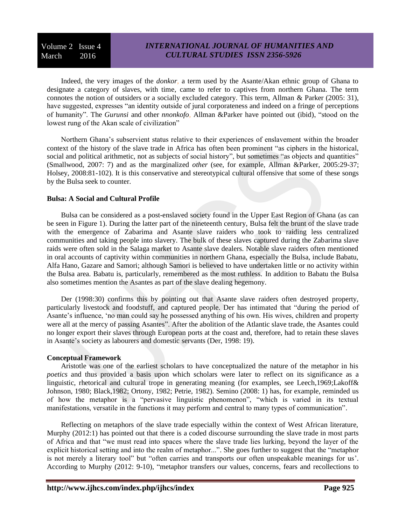## *INTERNATIONAL JOURNAL OF HUMANITIES AND CULTURAL STUDIES ISSN 2356-5926*

Indeed, the very images of the *donkor,* a term used by the Asante/Akan ethnic group of Ghana to designate a category of slaves, with time, came to refer to captives from northern Ghana. The term connotes the notion of outsiders or a socially excluded category. This term, Allman & Parker (2005: 31), have suggested, expresses "an identity outside of jural corporateness and indeed on a fringe of perceptions of humanity". The *Gurunsi* and other *nnonkofo,* Allman &Parker have pointed out (ibid), "stood on the lowest rung of the Akan scale of civilization"

Northern Ghana's subservient status relative to their experiences of enslavement within the broader context of the history of the slave trade in Africa has often been prominent "as ciphers in the historical, social and political arithmetic, not as subjects of social history", but sometimes "as objects and quantities" (Smallwood, 2007: 7) and as the marginalized *other* (see, for example, Allman &Parker, 2005:29-37; Holsey, 2008:81-102). It is this conservative and stereotypical cultural offensive that some of these songs by the Bulsa seek to counter.

### **Bulsa: A Social and Cultural Profile**

Bulsa can be considered as a post-enslaved society found in the Upper East Region of Ghana (as can be seen in Figure 1). During the latter part of the nineteenth century, Bulsa felt the brunt of the slave trade with the emergence of Zabarima and Asante slave raiders who took to raiding less centralized communities and taking people into slavery. The bulk of these slaves captured during the Zabarima slave raids were often sold in the Salaga market to Asante slave dealers. Notable slave raiders often mentioned in oral accounts of captivity within communities in northern Ghana, especially the Bulsa, include Babatu, Alfa Hano, Gazare and Samori; although Samori is believed to have undertaken little or no activity within the Bulsa area. Babatu is, particularly, remembered as the most ruthless. In addition to Babatu the Bulsa also sometimes mention the Asantes as part of the slave dealing hegemony.

Der (1998:30) confirms this by pointing out that Asante slave raiders often destroyed property, particularly livestock and foodstuff, and captured people. Der has intimated that "during the period of Asante's influence, 'no man could say he possessed anything of his own. His wives, children and property were all at the mercy of passing Asantes". After the abolition of the Atlantic slave trade, the Asantes could no longer export their slaves through European ports at the coast and, therefore, had to retain these slaves in Asante's society as labourers and domestic servants (Der, 1998: 19).

### **Conceptual Framework**

Aristotle was one of the earliest scholars to have conceptualized the nature of the metaphor in his *poetics* and thus provided a basis upon which scholars were later to reflect on its significance as a linguistic, rhetorical and cultural trope in generating meaning (for examples, see Leech,1969;Lakoff& Johnson, 1980; Black,1982; Ortony, 1982; Petrie, 1982). Semino (2008: 1) has, for example, reminded us of how the metaphor is a "pervasive linguistic phenomenon", "which is varied in its textual manifestations, versatile in the functions it may perform and central to many types of communication".

Reflecting on metaphors of the slave trade especially within the context of West African literature, Murphy (2012:1) has pointed out that there is a coded discourse surrounding the slave trade in most parts of Africa and that "we must read into spaces where the slave trade lies lurking, beyond the layer of the explicit historical setting and into the realm of metaphor...". She goes further to suggest that the "metaphor is not merely a literary tool" but "often carries and transports our often unspeakable meanings for us'. According to Murphy (2012: 9-10), "metaphor transfers our values, concerns, fears and recollections to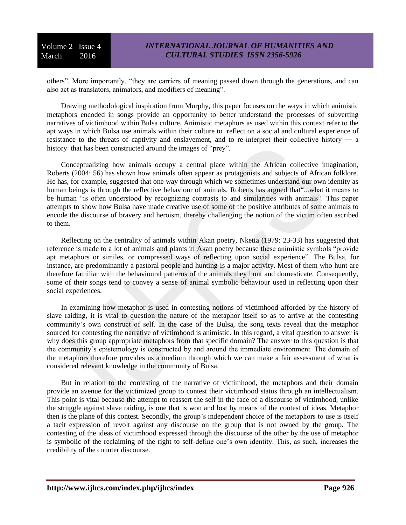others". More importantly, "they are carriers of meaning passed down through the generations, and can also act as translators, animators, and modifiers of meaning".

Drawing methodological inspiration from Murphy, this paper focuses on the ways in which animistic metaphors encoded in songs provide an opportunity to better understand the processes of subverting narratives of victimhood within Bulsa culture. Animistic metaphors as used within this context refer to the apt ways in which Bulsa use animals within their culture to reflect on a social and cultural experience of resistance to the threats of captivity and enslavement, and to re-interpret their collective history ― a history that has been constructed around the images of "prey".

Conceptualizing how animals occupy a central place within the African collective imagination, Roberts (2004: 56) has shown how animals often appear as protagonists and subjects of African folklore. He has, for example, suggested that one way through which we sometimes understand our own identity as human beings is through the reflective behaviour of animals. Roberts has argued that"...what it means to be human "is often understood by recognizing contrasts to and similarities with animals". This paper attempts to show how Bulsa have made creative use of some of the positive attributes of some animals to encode the discourse of bravery and heroism, thereby challenging the notion of the victim often ascribed to them.

Reflecting on the centrality of animals within Akan poetry, Nketia (1979: 23-33) has suggested that reference is made to a lot of animals and plants in Akan poetry because these animistic symbols "provide apt metaphors or similes, or compressed ways of reflecting upon social experience". The Bulsa, for instance, are predominantly a pastoral people and hunting is a major activity. Most of them who hunt are therefore familiar with the behavioural patterns of the animals they hunt and domesticate. Consequently, some of their songs tend to convey a sense of animal symbolic behaviour used in reflecting upon their social experiences.

In examining how metaphor is used in contesting notions of victimhood afforded by the history of slave raiding, it is vital to question the nature of the metaphor itself so as to arrive at the contesting community's own construct of self. In the case of the Bulsa, the song texts reveal that the metaphor sourced for contesting the narrative of victimhood is animistic. In this regard, a vital question to answer is why does this group appropriate metaphors from that specific domain? The answer to this question is that the community's epistemology is constructed by and around the immediate environment. The domain of the metaphors therefore provides us a medium through which we can make a fair assessment of what is considered relevant knowledge in the community of Bulsa.

But in relation to the contesting of the narrative of victimhood, the metaphors and their domain provide an avenue for the victimized group to contest their victimhood status through an intellectualism. This point is vital because the attempt to reassert the self in the face of a discourse of victimhood, unlike the struggle against slave raiding, is one that is won and lost by means of the contest of ideas. Metaphor then is the plane of this contest. Secondly, the group's independent choice of the metaphors to use is itself a tacit expression of revolt against any discourse on the group that is not owned by the group. The contesting of the ideas of victimhood expressed through the discourse of the other by the use of metaphor is symbolic of the reclaiming of the right to self-define one's own identity. This, as such, increases the credibility of the counter discourse.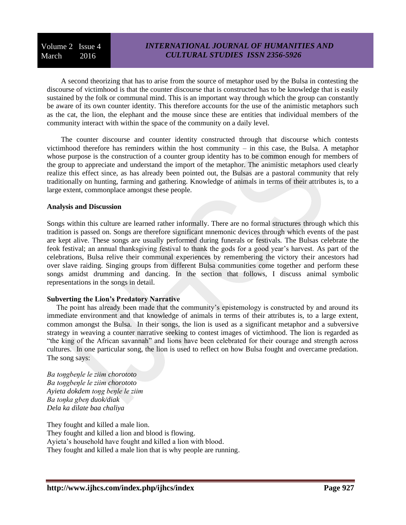## *INTERNATIONAL JOURNAL OF HUMANITIES AND CULTURAL STUDIES ISSN 2356-5926*

A second theorizing that has to arise from the source of metaphor used by the Bulsa in contesting the discourse of victimhood is that the counter discourse that is constructed has to be knowledge that is easily sustained by the folk or communal mind. This is an important way through which the group can constantly be aware of its own counter identity. This therefore accounts for the use of the animistic metaphors such as the cat, the lion, the elephant and the mouse since these are entities that individual members of the community interact with within the space of the community on a daily level.

The counter discourse and counter identity constructed through that discourse which contests victimhood therefore has reminders within the host community – in this case, the Bulsa. A metaphor whose purpose is the construction of a counter group identity has to be common enough for members of the group to appreciate and understand the import of the metaphor. The animistic metaphors used clearly realize this effect since, as has already been pointed out, the Bulsas are a pastoral community that rely traditionally on hunting, farming and gathering. Knowledge of animals in terms of their attributes is, to a large extent, commonplace amongst these people.

#### **Analysis and Discussion**

Songs within this culture are learned rather informally. There are no formal structures through which this tradition is passed on. Songs are therefore significant mnemonic devices through which events of the past are kept alive. These songs are usually performed during funerals or festivals. The Bulsas celebrate the feok festival; an annual thanksgiving festival to thank the gods for a good year's harvest. As part of the celebrations, Bulsa relive their communal experiences by remembering the victory their ancestors had over slave raiding. Singing groups from different Bulsa communities come together and perform these songs amidst drumming and dancing. In the section that follows, I discuss animal symbolic representations in the songs in detail.

### **Subverting the Lion's Predatory Narrative**

The point has already been made that the community's epistemology is constructed by and around its immediate environment and that knowledge of animals in terms of their attributes is, to a large extent, common amongst the Bulsa. In their songs, the lion is used as a significant metaphor and a subversive strategy in weaving a counter narrative seeking to contest images of victimhood. The lion is regarded as "the king of the African savannah" and lions have been celebrated for their courage and strength across cultures. In one particular song, the lion is used to reflect on how Bulsa fought and overcame predation. The song says:

*Ba toŋgbeŋle le ziim chorototo Ba toŋgbeŋle le ziim chorototo Ayieta dokdem toŋg beŋle le ziim Ba toŋka gbeŋ duok/diak Dela ka dilate baa chaliya*

They fought and killed a male lion. They fought and killed a lion and blood is flowing. Ayieta's household have fought and killed a lion with blood. They fought and killed a male lion that is why people are running.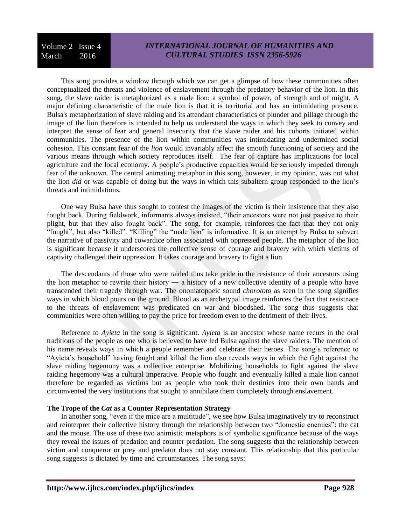## *INTERNATIONAL JOURNAL OF HUMANITIES AND CULTURAL STUDIES ISSN 2356-5926*

This song provides a window through which we can get a glimpse of how these communities often conceptualized the threats and violence of enslavement through the predatory behavior of the lion. In this song, the slave raider is metaphorized as a male lion: a symbol of power, of strength and of might. A major defining characteristic of the male lion is that it is territorial and has an intimidating presence. Bulsa's metaphorization of slave raiding and its attendant characteristics of plunder and pillage through the image of the lion therefore is intended to help us understand the ways in which they seek to convey and interpret the sense of fear and general insecurity that the slave raider and his cohorts initiated within communities. The presence of the lion within communities was intimidating and undermined social cohesion. This constant fear of the *lion* would invariably affect the smooth functioning of society and the various means through which society reproduces itself. The fear of capture has implications for local agriculture and the local economy. A people's productive capacities would be seriously impeded through fear of the unknown. The central animating metaphor in this song, however, in my opinion, was not what the lion *did* or was capable of doing but the ways in which this subaltern group responded to the lion's threats and intimidations.

One way Bulsa have thus sought to contest the images of the victim is their insistence that they also fought back. During fieldwork, informants always insisted, "their ancestors were not just passive to their plight, but that they also fought back". The song, for example, reinforces the fact that they not only "fought", but also "killed". "Killing" the "male lion" is informative. It is an attempt by Bulsa to subvert the narrative of passivity and cowardice often associated with oppressed people. The metaphor of the lion is significant because it underscores the collective sense of courage and bravery with which victims of captivity challenged their oppression. It takes courage and bravery to fight a lion.

The descendants of those who were raided thus take pride in the resistance of their ancestors using the lion metaphor to rewrite their history — a history of a new collective identity of a people who have transcended their tragedy through war. The onomatopoeic sound *chorototo* as seen in the song signifies ways in which blood pours on the ground. Blood as an archetypal image reinforces the fact that resistnace to the threats of enslavement was predicated on war and bloodshed. The song thus suggests that communities were often willing to pay the price for freedom even to the detriment of their lives.

Reference to *Ayieta* in the song is significant. *Ayieta* is an ancestor whose name recurs in the oral traditions of the people as one who is believed to have led Bulsa against the slave raiders. The mention of his name reveals ways in which a people remember and celebrate their heroes. The song's reference to "Ayieta's household" having fought and killed the lion also reveals ways in which the fight against the slave raiding hegemony was a collective enterprise. Mobilizing households to fight against the slave raiding hegemony was a cultural imperative. People who fought and eventually killed a male lion cannot therefore be regarded as victims but as people who took their destinies into their own hands and circumvented the very institutions that sought to annihilate them completely through enslavement.

### **The Trope of the** *Cat* **as a Counter Representation Strategy**

In another song, "even if the mice are a multitude", we see how Bulsa imaginatively try to reconstruct and reinterpret their collective history through the relationship between two "domestic enemies": the cat and the mouse. The use of these two animistic metaphors is of symbolic significance because of the ways they reveal the issues of predation and counter predation. The song suggests that the relationship between victim and conqueror or prey and predator does not stay constant. This relationship that this particular song suggests is dictated by time and circumstances. The song says: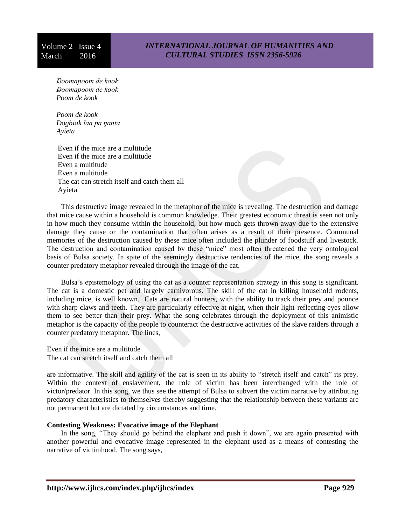*Ŋoomapoom de kook Ŋoomapoom de kook Poom de kook* 

*Poom de kook Dogbiak laa pa ŋanta Ayieta*

Even if the mice are a multitude Even if the mice are a multitude Even a multitude Even a multitude The cat can stretch itself and catch them all Ayieta

This destructive image revealed in the metaphor of the mice is revealing. The destruction and damage that mice cause within a household is common knowledge. Their greatest economic threat is seen not only in how much they consume within the household, but how much gets thrown away due to the extensive damage they cause or the contamination that often arises as a result of their presence. Communal memories of the destruction caused by these mice often included the plunder of foodstuff and livestock. The destruction and contamination caused by these "mice" most often threatened the very ontological basis of Bulsa society. In spite of the seemingly destructive tendencies of the mice, the song reveals a counter predatory metaphor revealed through the image of the cat.

Bulsa's epistemology of using the cat as a counter representation strategy in this song is significant. The cat is a domestic pet and largely carnivorous. The skill of the cat in killing household rodents, including mice, is well known. Cats are natural hunters, with the ability to track their prey and pounce with sharp claws and teeth. They are particularly effective at night, when their light-reflecting eyes allow them to see better than their prey. What the song celebrates through the deployment of this animistic metaphor is the capacity of the people to counteract the destructive activities of the slave raiders through a counter predatory metaphor. The lines,

Even if the mice are a multitude The cat can stretch itself and catch them all

are informative. The skill and agility of the cat is seen in its ability to "stretch itself and catch" its prey. Within the context of enslavement, the role of victim has been interchanged with the role of victor/predator. In this song, we thus see the attempt of Bulsa to subvert the victim narrative by attributing predatory characteristics to themselves thereby suggesting that the relationship between these variants are not permanent but are dictated by circumstances and time.

### **Contesting Weakness: Evocative image of the Elephant**

In the song, "They should go behind the elephant and push it down", we are again presented with another powerful and evocative image represented in the elephant used as a means of contesting the narrative of victimhood. The song says,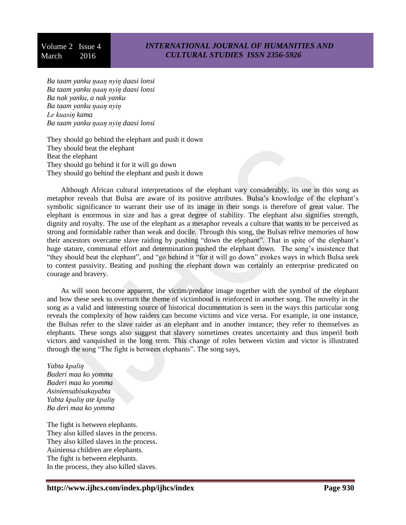### *INTERNATIONAL JOURNAL OF HUMANITIES AND CULTURAL STUDIES ISSN 2356-5926*

*Ba taam yanku ŋaaŋ nyiŋ daasi lonsi Ba taam yanku ŋaaŋ nyiŋ daasi lonsi Ba nak yanku, a nak yanku Ba taam yanku ŋaaŋ nyiŋ Le kuasiŋ kama Ba taam yanku ŋaaŋ nyiŋ daasi lonsi*

They should go behind the elephant and push it down They should beat the elephant Beat the elephant They should go behind it for it will go down They should go behind the elephant and push it down

Although African cultural interpretations of the elephant vary considerably, its use in this song as metaphor reveals that Bulsa are aware of its positive attributes. Bulsa's knowledge of the elephant's symbolic significance to warrant their use of its image in their songs is therefore of great value. The elephant is enormous in size and has a great degree of stability. The elephant also signifies strength, dignity and royalty. The use of the elephant as a metaphor reveals a culture that wants to be perceived as strong and formidable rather than weak and docile. Through this song, the Bulsas relive memories of how their ancestors overcame slave raiding by pushing "down the elephant". That in spite of the elephant's huge stature, communal effort and determination pushed the elephant down. The song's insistence that "they should beat the elephant", and "go behind it "for it will go down" evokes ways in which Bulsa seek to contest passivity. Beating and pushing the elephant down was certainly an enterprise predicated on courage and bravery.

As will soon become apparent, the victim/predator image together with the symbol of the elephant and how these seek to overturn the theme of victimhood is reinforced in another song. The novelty in the song as a valid and interesting source of historical documentation is seen in the ways this particular song reveals the complexity of how raiders can become victims and vice versa. For example, in one instance, the Bulsas refer to the slave raider as an elephant and in another instance; they refer to themselves as elephants. These songs also suggest that slavery sometimes creates uncertainty and thus imperil both victors and vanquished in the long term. This change of roles between victim and victor is illustrated through the song "The fight is between elephants". The song says,

*Yabta kpaliŋ Baderi maa ko yomma Baderi maa ko yomma Asiniensabisakayabta Yabta kpaliŋ ate kpaliŋ Ba deri maa ko yomma*

The fight is between elephants. They also killed slaves in the process. They also killed slaves in the process. Asiniensa children are elephants. The fight is between elephants. In the process, they also killed slaves.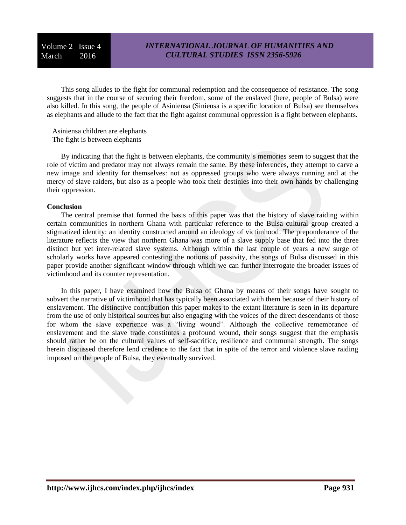## *INTERNATIONAL JOURNAL OF HUMANITIES AND CULTURAL STUDIES ISSN 2356-5926*

This song alludes to the fight for communal redemption and the consequence of resistance. The song suggests that in the course of securing their freedom, some of the enslaved (here, people of Bulsa) were also killed. In this song, the people of Asiniensa (Siniensa is a specific location of Bulsa) see themselves as elephants and allude to the fact that the fight against communal oppression is a fight between elephants.

Asiniensa children are elephants The fight is between elephants

By indicating that the fight is between elephants, the community's memories seem to suggest that the role of victim and predator may not always remain the same. By these inferences, they attempt to carve a new image and identity for themselves: not as oppressed groups who were always running and at the mercy of slave raiders, but also as a people who took their destinies into their own hands by challenging their oppression.

#### **Conclusion**

The central premise that formed the basis of this paper was that the history of slave raiding within certain communities in northern Ghana with particular reference to the Bulsa cultural group created a stigmatized identity: an identity constructed around an ideology of victimhood. The preponderance of the literature reflects the view that northern Ghana was more of a slave supply base that fed into the three distinct but yet inter-related slave systems. Although within the last couple of years a new surge of scholarly works have appeared contesting the notions of passivity, the songs of Bulsa discussed in this paper provide another significant window through which we can further interrogate the broader issues of victimhood and its counter representation.

In this paper, I have examined how the Bulsa of Ghana by means of their songs have sought to subvert the narrative of victimhood that has typically been associated with them because of their history of enslavement. The distinctive contribution this paper makes to the extant literature is seen in its departure from the use of only historical sources but also engaging with the voices of the direct descendants of those for whom the slave experience was a "living wound". Although the collective remembrance of enslavement and the slave trade constitutes a profound wound, their songs suggest that the emphasis should rather be on the cultural values of self-sacrifice, resilience and communal strength. The songs herein discussed therefore lend credence to the fact that in spite of the terror and violence slave raiding imposed on the people of Bulsa, they eventually survived.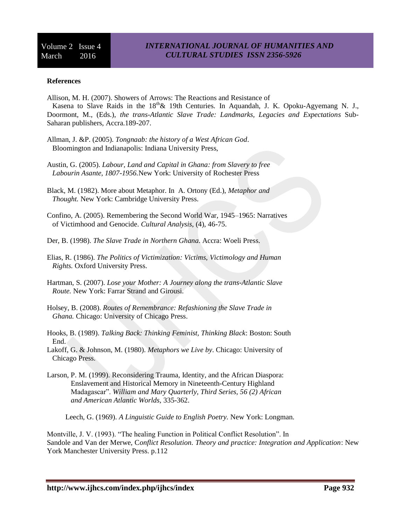#### **References**

Allison, M. H. (2007). Showers of Arrows: The Reactions and Resistance of Kasena to Slave Raids in the  $18<sup>th</sup> \& 19th$  Centuries. In Aquandah, J. K. Opoku-Agyemang N. J., Doormont, M., (Eds.), *the trans-Atlantic Slave Trade: Landmarks, Legacies and Expectations* Sub-Saharan publishers, Accra.189-207.

- Allman, J. &P. (2005). *Tongnaab: the history of a West African God.* Bloomington and Indianapolis: Indiana University Press,
- Austin, G. (2005). *Labour, Land and Capital in Ghana: from Slavery to free Labourin Asante, 1807-1956.*New York: University of Rochester Press

Black, M. (1982). More about Metaphor. In A. Ortony (Ed.), *Metaphor and Thought.* New York: Cambridge University Press.

Confino, A. (2005). Remembering the Second World War, 1945–1965: Narratives of Victimhood and Genocide. *Cultural Analysis*, (4), 46-75.

Der, B. (1998). *The Slave Trade in Northern Ghana*. Accra: Woeli Press.

Elias, R. (1986). *The Politics of Victimization: Victims, Victimology and Human Rights.* Oxford University Press.

Hartman, S. (2007). *Lose your Mother: A Journey along the trans-Atlantic Slave Route.* New York: Farrar Strand and Girousi.

Holsey, B. (2008). *Routes of Remembrance: Refashioning the Slave Trade in Ghana.* Chicago: University of Chicago Press.

Hooks, B. (1989). *Talking Back: Thinking Feminist, Thinking Black*: Boston: South End.

Lakoff, G. & Johnson, M. (1980). *Metaphors we Live by*. Chicago: University of Chicago Press.

Larson, P. M. (1999). Reconsidering Trauma, Identity, and the African Diaspora: Enslavement and Historical Memory in Nineteenth-Century Highland Madagascar". *William and Mary Quarterly, Third Series, 56 (2) African and American Atlantic Worlds,* 335-362.

Leech, G. (1969). *A Linguistic Guide to English Poetry.* New York: Longman.

Montville, J. V. (1993). "The healing Function in Political Conflict Resolution". In Sandole and Van der Merwe, C*onflict Resolution. Theory and practice: Integration and Application*: New York Manchester University Press. p.112